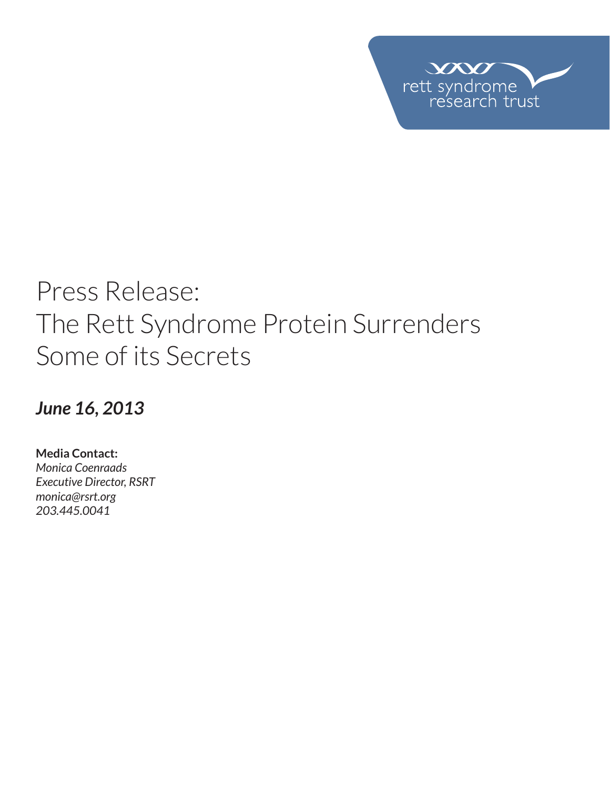

# Press Release: The Rett Syndrome Protein Surrenders Some of its Secrets

*June 16, 2013*

**Media Contact:**  *Monica Coenraads Executive Director, RSRT monica@rsrt.org 203.445.0041*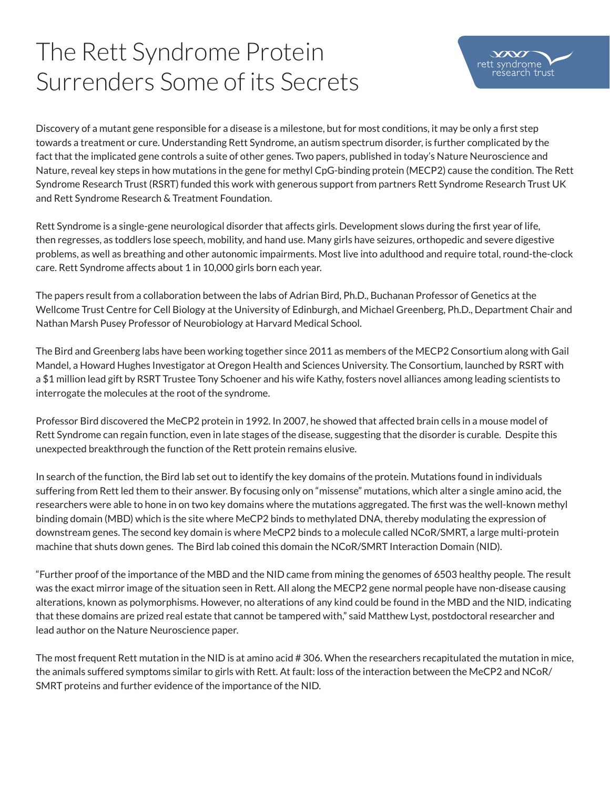## The Rett Syndrome Protein Surrenders Some of its Secrets



Discovery of a mutant gene responsible for a disease is a milestone, but for most conditions, it may be only a first step towards a treatment or cure. Understanding Rett Syndrome, an autism spectrum disorder, is further complicated by the fact that the implicated gene controls a suite of other genes. Two papers, published in today's Nature Neuroscience and Nature, reveal key steps in how mutations in the gene for methyl CpG-binding protein (MECP2) cause the condition. The Rett Syndrome Research Trust (RSRT) funded this work with generous support from partners Rett Syndrome Research Trust UK and Rett Syndrome Research & Treatment Foundation.

Rett Syndrome is a single-gene neurological disorder that affects girls. Development slows during the first year of life, then regresses, as toddlers lose speech, mobility, and hand use. Many girls have seizures, orthopedic and severe digestive problems, as well as breathing and other autonomic impairments. Most live into adulthood and require total, round-the-clock care. Rett Syndrome affects about 1 in 10,000 girls born each year.

The papers result from a collaboration between the labs of Adrian Bird, Ph.D., Buchanan Professor of Genetics at the Wellcome Trust Centre for Cell Biology at the University of Edinburgh, and Michael Greenberg, Ph.D., Department Chair and Nathan Marsh Pusey Professor of Neurobiology at Harvard Medical School.

The Bird and Greenberg labs have been working together since 2011 as members of the MECP2 Consortium along with Gail Mandel, a Howard Hughes Investigator at Oregon Health and Sciences University. The Consortium, launched by RSRT with a \$1 million lead gift by RSRT Trustee Tony Schoener and his wife Kathy, fosters novel alliances among leading scientists to interrogate the molecules at the root of the syndrome.

Professor Bird discovered the MeCP2 protein in 1992. In 2007, he showed that affected brain cells in a mouse model of Rett Syndrome can regain function, even in late stages of the disease, suggesting that the disorder is curable. Despite this unexpected breakthrough the function of the Rett protein remains elusive.

In search of the function, the Bird lab set out to identify the key domains of the protein. Mutations found in individuals suffering from Rett led them to their answer. By focusing only on "missense" mutations, which alter a single amino acid, the researchers were able to hone in on two key domains where the mutations aggregated. The first was the well-known methyl binding domain (MBD) which is the site where MeCP2 binds to methylated DNA, thereby modulating the expression of downstream genes. The second key domain is where MeCP2 binds to a molecule called NCoR/SMRT, a large multi-protein machine that shuts down genes. The Bird lab coined this domain the NCoR/SMRT Interaction Domain (NID).

"Further proof of the importance of the MBD and the NID came from mining the genomes of 6503 healthy people. The result was the exact mirror image of the situation seen in Rett. All along the MECP2 gene normal people have non-disease causing alterations, known as polymorphisms. However, no alterations of any kind could be found in the MBD and the NID, indicating that these domains are prized real estate that cannot be tampered with," said Matthew Lyst, postdoctoral researcher and lead author on the Nature Neuroscience paper.

The most frequent Rett mutation in the NID is at amino acid # 306. When the researchers recapitulated the mutation in mice, the animals suffered symptoms similar to girls with Rett. At fault: loss of the interaction between the MeCP2 and NCoR/ SMRT proteins and further evidence of the importance of the NID.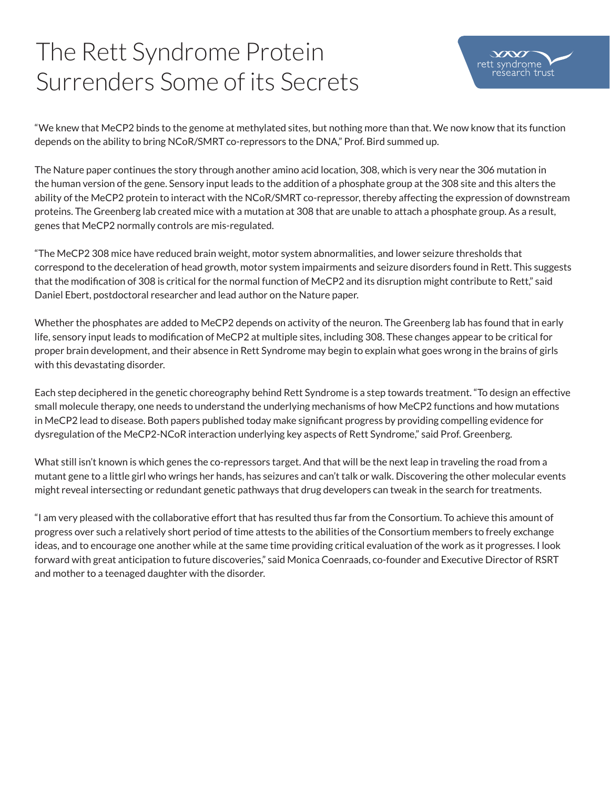## The Rett Syndrome Protein Surrenders Some of its Secrets



"We knew that MeCP2 binds to the genome at methylated sites, but nothing more than that. We now know that its function depends on the ability to bring NCoR/SMRT co-repressors to the DNA," Prof. Bird summed up.

The Nature paper continues the story through another amino acid location, 308, which is very near the 306 mutation in the human version of the gene. Sensory input leads to the addition of a phosphate group at the 308 site and this alters the ability of the MeCP2 protein to interact with the NCoR/SMRT co-repressor, thereby affecting the expression of downstream proteins. The Greenberg lab created mice with a mutation at 308 that are unable to attach a phosphate group. As a result, genes that MeCP2 normally controls are mis-regulated.

"The MeCP2 308 mice have reduced brain weight, motor system abnormalities, and lower seizure thresholds that correspond to the deceleration of head growth, motor system impairments and seizure disorders found in Rett. This suggests that the modification of 308 is critical for the normal function of MeCP2 and its disruption might contribute to Rett," said Daniel Ebert, postdoctoral researcher and lead author on the Nature paper.

Whether the phosphates are added to MeCP2 depends on activity of the neuron. The Greenberg lab has found that in early life, sensory input leads to modification of MeCP2 at multiple sites, including 308. These changes appear to be critical for proper brain development, and their absence in Rett Syndrome may begin to explain what goes wrong in the brains of girls with this devastating disorder.

Each step deciphered in the genetic choreography behind Rett Syndrome is a step towards treatment. "To design an effective small molecule therapy, one needs to understand the underlying mechanisms of how MeCP2 functions and how mutations in MeCP2 lead to disease. Both papers published today make significant progress by providing compelling evidence for dysregulation of the MeCP2-NCoR interaction underlying key aspects of Rett Syndrome," said Prof. Greenberg.

What still isn't known is which genes the co-repressors target. And that will be the next leap in traveling the road from a mutant gene to a little girl who wrings her hands, has seizures and can't talk or walk. Discovering the other molecular events might reveal intersecting or redundant genetic pathways that drug developers can tweak in the search for treatments.

"I am very pleased with the collaborative effort that has resulted thus far from the Consortium. To achieve this amount of progress over such a relatively short period of time attests to the abilities of the Consortium members to freely exchange ideas, and to encourage one another while at the same time providing critical evaluation of the work as it progresses. I look forward with great anticipation to future discoveries," said Monica Coenraads, co-founder and Executive Director of RSRT and mother to a teenaged daughter with the disorder.